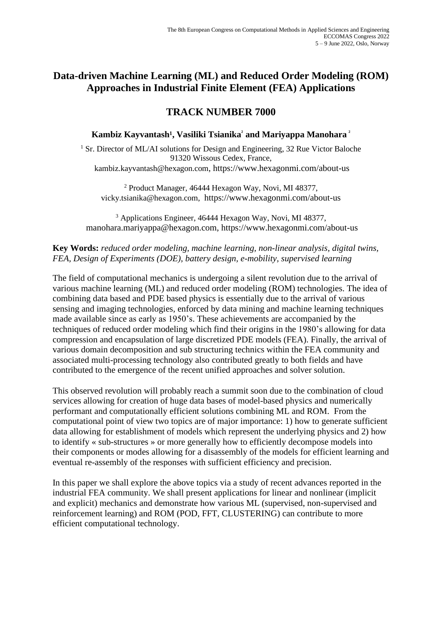# **Data-driven Machine Learning (ML) and Reduced Order Modeling (ROM) Approaches in Industrial Finite Element (FEA) Applications**

# **TRACK NUMBER 7000**

### **Kambiz Kayvantash<sup>1</sup>, Vasiliki Tsianika<sup>2</sup> and Mariyappa Manohara<sup>2</sup>**

<sup>1</sup> Sr. Director of ML/AI solutions for Design and Engineering, 32 Rue Victor Baloche 91320 Wissous Cedex, France, kambiz.kayvantash@hexagon.com, https://www.hexagonmi.com/about-us

<sup>2</sup> Product Manager, 46444 Hexagon Way, Novi, MI 48377, vicky.tsianika@hexagon.com, https://www.hexagonmi.com/about-us

<sup>3</sup> Applications Engineer, 46444 Hexagon Way, Novi, MI 48377, manohara.mariyappa@hexagon.com, https://www.hexagonmi.com/about-us

### **Key Words:** *reduced order modeling, machine learning, non-linear analysis, digital twins, FEA, Design of Experiments (DOE), battery design, e-mobility, supervised learning*

The field of computational mechanics is undergoing a silent revolution due to the arrival of various machine learning (ML) and reduced order modeling (ROM) technologies. The idea of combining data based and PDE based physics is essentially due to the arrival of various sensing and imaging technologies, enforced by data mining and machine learning techniques made available since as early as 1950's. These achievements are accompanied by the techniques of reduced order modeling which find their origins in the 1980's allowing for data compression and encapsulation of large discretized PDE models (FEA). Finally, the arrival of various domain decomposition and sub structuring technics within the FEA community and associated multi-processing technology also contributed greatly to both fields and have contributed to the emergence of the recent unified approaches and solver solution.

This observed revolution will probably reach a summit soon due to the combination of cloud services allowing for creation of huge data bases of model-based physics and numerically performant and computationally efficient solutions combining ML and ROM. From the computational point of view two topics are of major importance: 1) how to generate sufficient data allowing for establishment of models which represent the underlying physics and 2) how to identify « sub-structures » or more generally how to efficiently decompose models into their components or modes allowing for a disassembly of the models for efficient learning and eventual re-assembly of the responses with sufficient efficiency and precision.

In this paper we shall explore the above topics via a study of recent advances reported in the industrial FEA community. We shall present applications for linear and nonlinear (implicit and explicit) mechanics and demonstrate how various ML (supervised, non-supervised and reinforcement learning) and ROM (POD, FFT, CLUSTERING) can contribute to more efficient computational technology.